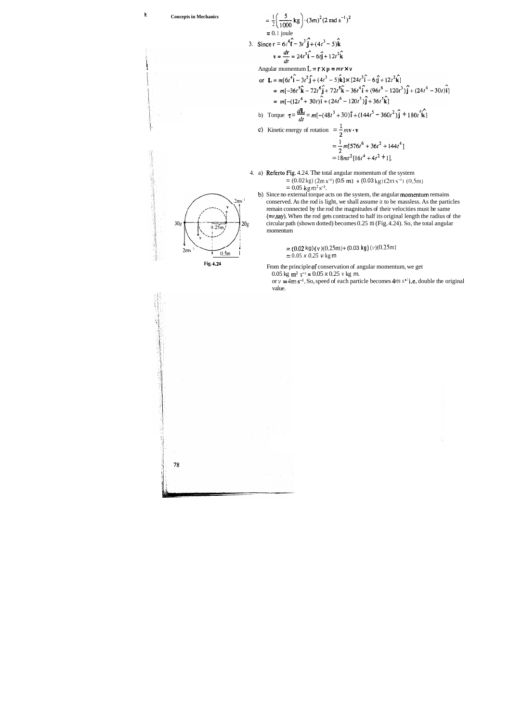

### **If Concepts in Mechanics**

i

- $= (0.02 \text{ kg}) (2 \text{m s}^{-1}) (0.5 \text{ m}) + (0.03 \text{ kg}) (2 \text{m s}^{-1}) (0.5 \text{ m})$  $= 0.05$  kg m<sup>2</sup> s<sup>-1</sup>.
- b) Since no external torque acts on the system, the angular momentum remains conserved. As the rod is light, we shall assume it to be massless. As the particles remain connected by the rod the magnitudes of their velocities must be same (=v,say). When the rod gets contracted to half its original length the radius of the  $30g$   $\leftarrow$   $\leftarrow$   $\leftarrow$   $\leftarrow$   $\leftarrow$   $20g$  circular path (shown dotted) becomes 0.25 m (Fig. 4.24). So, the total angular momentum

 $I = (0.02 \text{ kg}) (v)(0.25 \text{m}) + (0.03 \text{ kg}) (v)(0.25 \text{m})$  $\frac{1}{20.5 \text{ m}}$  =  $\frac{1}{20.05 \times 0.25 \text{ v kg m}}$ 

> or  $v = 4m s^{-1}$ . So, speed of each particle becomes  $4m s^{*1}$  i.e. double the original value.



78

**Fig. 4.24** From the principle of conservation of angular momentum, we get

 $0.05$  kg m<sup>2</sup> s<sup>-1</sup> =  $0.05 \times 0.25$  v kg m.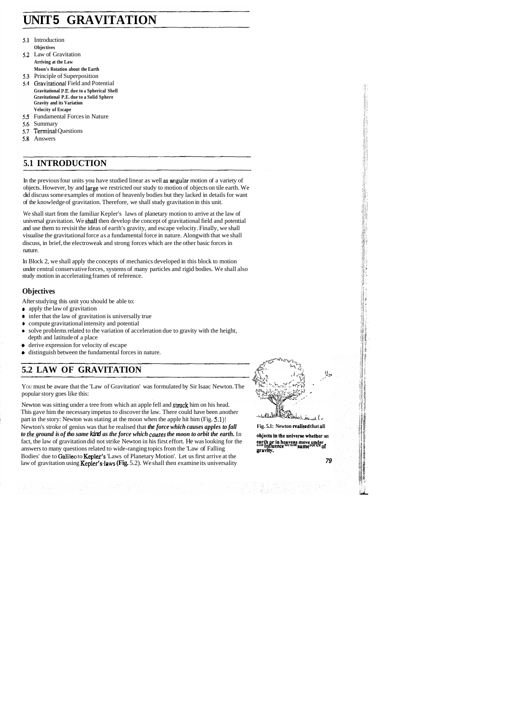# **UNIT 5 GRAVITATION**

- 5.1 Introduction **Objectives**
- 5.2 Law of Gravitation **Arriving at the Law Moon's Rotation about the Earth**
- 5.3 Principle of Superposition
- Gravitational Field and Potential **Gravitational P.E, due to a Spherical Shell Gravitational P.E. due to a Solid Sphere Gravity and its Variation Velocity of Escape**
- 5.5 Fundamental Forces in Nature
- 5.6 Summary
- $5.7$ Terminal Questions
- 5.8 Answers

# **5.1 INTRODUCTION**

In the previous four units you have studied linear as well as-mgular motion of a variety of objects. However, by and large we restricted our study to motion of objects on tile earth. We did discuss some examples of motion of heavenly bodies but they lacked in details for want of the knowledge of gravitation. Therefore, we shall study gravitation in this unit.

#q~s\*~v~'~> **5.2 LAW OF GRAVITATION P**  $\oint_{\mathbb{R}^3}$  **P**  $\oint_{\mathbb{R}^3}$  **P**  $\oint_{\mathbb{R}^3}$  **P**  $\oint_{\mathbb{R}^3}$  **P**  $\oint_{\mathbb{R}^3}$  **P**  $\oint_{\mathbb{R}^3}$  **P**  $\oint_{\mathbb{R}^3}$  **P**  $\oint_{\mathbb{R}^3}$  **P P CRAVITATION P P P P P P** ', **a'** ', \*. , 4 :\* **-p.**  'Id ,

We shall start from the familiar Kepler's laws of planetary motion to arrive at the law of universal gravitation. We shall then develop the concept of gravitational field and potential and use them to revisit the ideas of earth's gravity, and escape velocity. Finally, we shall visualise the gravitational force as a fundamental force in nature. Alongwith that we shall discuss, in brief, the electroweak and strong forces which are the other basic forces in nature.

Newton was sitting under a tree from which an apple fell and struck him on his head. This gave him the necessary impetus to discover the law. There could have been another part in the story: Newton was stating at the moon when the apple hit him (Fig. 5.1)!<br>Newton's stroke of genius was that he realised that *the force which causes apples to fall* Fig. 5.1: Newton realised that all Newton's stroke of genius was that he realised that *the force which causes apples to fall to the ground is of tho same kind as the force which causes the moon to orbit the earth.* In to the ground is of tho same kind as the force which causes the moon to orbit the earth. In objects in the universe whether on fact, the law of gravitation did not strike Newton in his first effort. He was looking for the answers to many questions related to wide-ranging topics from the 'Law of Falling **gravity.** Bodies' due to Galileo to Kepler's 'Laws of Planetary Motion'. Let us first arrive at the law of gravitation using **Kepler's laws (Fig. 5.2)**. We shall then examine its universality **79 79** 

In Block 2, we shall apply the concepts of mechanics developed in this block to motion under central conservative forces, systems of many particles and rigid bodies. We shall also study motion in accelerating frames of reference.

### **Objectives**

After studying this unit you should be able to:

- **0** apply the law of gravitation
- **0** infer that the law of gravitation is universally true
- compute gravitational intensity and potential
- solve problems related to the variation of acceleration due to gravity with the height, depth and latitude of a place
- *8* derive expression for velocity of escape
- *8* distinguish between the fundamental forces in nature.

**5.2 LAW OF GRAVITATION**<br>You must be aware that the 'Law of Gravitation' was formulated by Sir Isaac Newton. The popular story goes like this: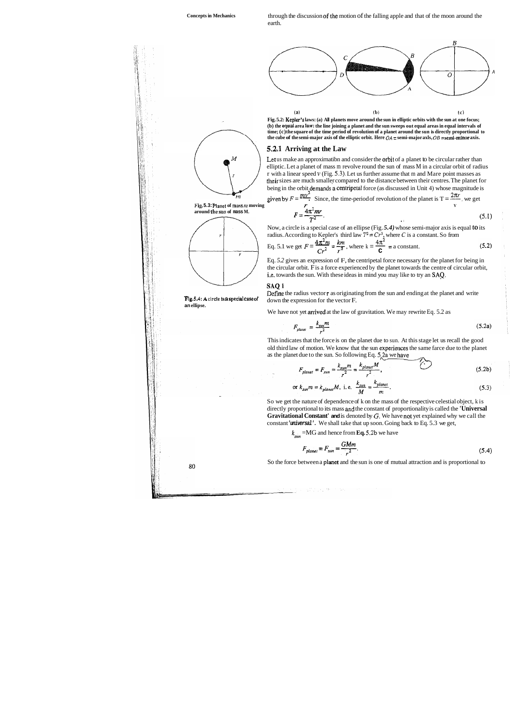**Concepts in Mechanics** through the discussion of the motion of the falling apple and that of the moon around the earth.

> **Fig. 5.2: Kepler's laws: (a) All planets move around the sun in elliptic orbits with the sun at one focus; (b) the equal area law: the line joining a planet and the sun sweeps out equal areas in equal intervals of time; (c) the square of the time period of revolution of a planet around the sun is directly proportional to the cube of the semi-major axis of the elliptic orbit. Here**  $OA =$  **semi-major axis,**  $OB =$  **semi-minor axis.**



#### / \ **5.2J Arriving at the Law**

Let us make an approximatibn and consider the orbit of a planet to be circular rather than elliptic. Let a planet of mass m revolve round the sun of mass M in a circular orbit of radius r with a linear speed **v** (Fig. *5.3).* Let us further assume that m and Mare point masses as their sizes are much smaller compared to the distance between their centres. The planet for being in the orbit demands a centripetal force (as discussed in Unit 4) whose magnitude is

Now, a circle is a special case of an ellipse (Fig. *5.4)* whose semi-major axis is equal to its radius. According to Kepler's third law  $T^2 = Cr^3$ , where *C* is a constant. So from

<sup>2</sup><br>
Planet of mass m moving<br>
F. =  $\frac{4\pi^2 mr}{T^2}$ . (5.1<br>
Now, a circle is a special case of an ellipse (Fig. 5.4) whose semi-major axis is equal to its<br>
radius. According to Kepler's third law  $T^2 = Cr^3$ , where C is a co Eq. *5.2* gives an expression of F, the centripetal force necessary for the planet for being in

Define the radius vector **r** as originating from the sun and ending at the planet and write **Fig. 5.4: A circle is a special case of down the expression for the vector F.** 

We have not yet arrived at the law of gravitation. We may rewrite Eq. 5.2 as

$$
F_{\text{planet}} = \frac{k_{\text{sun}} m}{r^2} \tag{5.2a}
$$



80

This indicates that the force is on the planet due to sun. At this stage let us recall the good old third law of motion. We know that the sun experiences the same farce due to the planet as the planet due to the sun. So following Eq.  $5/2a$  we have

$$
F_{\text{planet}} = F_{\text{sun}} = \frac{k_{\text{sun}}m}{r^2} = \frac{k_{\text{planet}}M}{r^2},\tag{5.2b}
$$

or 
$$
k_{sun}m = k_{plane}M
$$
, i. e.  $\frac{k_{sun}}{M} = \frac{k_{plane}}{m}$ . (5.3)

given by 
$$
F = \frac{mv^2}{r}
$$
. Since, the time-period of revolution of the planet is  $T = \frac{2\pi r}{v}$ , we get  
\n
$$
F = \frac{4\pi^2 mr}{T^2}.
$$
\n(5.1)

Eq. 5.1 we get 
$$
F = \frac{4\pi^2 m}{Cr^2} = \frac{km}{r^2}
$$
, where  $k = \frac{4\pi^2}{C} = a$  constant. (5.2)

#### **SAQI**

**an ellipse.** 

So we get the nature of dependence of k on the mass of the respective celestial object, k is directly proportional to its mass **afid** the constant of proportionality is called the **'Universal Gravitational Constant' and is denoted by G. We have not yet explained why we call the** constant **'universal'.** We shall take that up soon. Going back to Eq. 5.3 we get,

$$
k_{sun} = MG \text{ and hence from } Eq. 5.2b \text{ we have}
$$
  

$$
F_{planet} = F_{sun} = \frac{GMm}{r^2}.
$$
 (5.4)

So the force between a planet and the sun is one of mutual attraction and is proportional to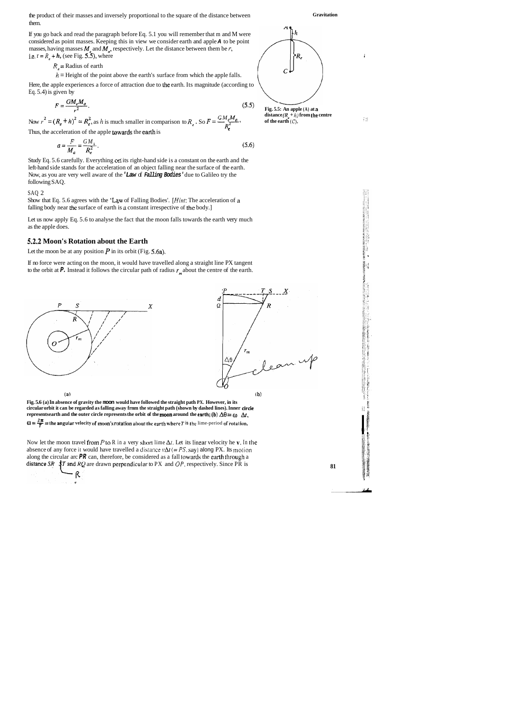the product of their masses and inversely proportional to the square of the distance between **Gravitation**  them.

If you go back and read the paragraph before Eq. 5.1 you will remember that m and M were considered as point masses. Keeping this in view we consider earth and apple **A** to be point masses, having masses  $M_{\ell}$  and  $M_{a}$ , respectively. Let the distance between them be *r*, i.e,  $r = R_e + h$ , (see Fig. 5.5), where 1 and 1 and 1 and 1 and 1 and 1 and 1 and 1 and 1 and 1 and 1 and 1 and 1 and 1 and 1 and 1 and 1 and 1 and 1 and 1 and 1 and 1 and 1 and 1 and 1 and 1 and 1 and 1 and 1 and 1 and 1 an

$$
R_{\circ}
$$
 = Radius of earth

 $h =$  Height of the point above the earth's surface from which the apple falls.

Here, the apple experiences a force of attraction due to the earth. Its magnitude (according to Eq. 5.4) is given by

$$
F = \frac{GM_e M_a}{r^2}.
$$
\n(5.5)

Now  $r^2 = (R_e + h)^2 \approx R_e^2$ , as h is much smaller in comparison to  $R_e$ . So  $F = \frac{GM_eM_a}{R_e^2}$ , distance  $(R_e + h)$  from the centre Thus, the acceleration of the apple towards the earth is

 $F$ <sup>*GM*</sup>

Study Eq. 5.6 carefully. Everything on its right-hand side is a constant on the earth and the left-hand side stands for the acceleration of an object falling near the surface of the earth. Now, as you are very well aware of the **'Law** of **Falling Bodies'** due to Galileo try the following SAQ.



;I5;  $\|\hspace{1ex}\|$  .  $|| \cdot ||$ **P**  liikko kuuluttaa kuuluttaa kuuluttaa kuuluttaa kuuluttaa kuuluttaa kuuluttaa kuuluttaa kuuluttaa kuuluttaa kuu<br>Liikko kuuluttaa kuuluttaa kuuluttaa kuuluttaa kuuluttaa kuuluttaa kuuluttaa kuuluttaa kuuluttaa kuuluttaa kuu<br>

If no force were acting on the moon, it would have travelled along a straight line PX tangent to the orbit at **P.** Instead it follows the circular path of radius  $r_m$  about the centre of the earth.



– R

$$
a = \frac{1}{M_a} = \frac{GM_t}{R_e^2}.
$$
\n
$$
(5.6)
$$

**Fig. 5.6 (a) In absence of gravity the moon would have followed the straight path PX. However, in its** t **circular orbit it can be regarded as falling away frnm the straight path (shown by dashed lines). Inner clrcle** \*j **represents earth and the outer circle represents the orbit of the moon around the earth; (b)**  $\Delta\theta = \omega \Delta t$ **,**  $\omega = \frac{2\pi}{r}$  = the angular velocity of moon's rotation about the earth where *T* is the lime-period of rotation.

Now let the moon travel from *P* to R in a very short lime  $\Delta t$ . Let its linear velocity he **y**. In the absence of any force it would have travelled a distance  $v\Delta t$  (= PS, say) along PX. Its motion along the circular arc  $PR$  can, therefore, be considered as a fall towards the earth through a distance SR  $\oint T$  and RQ are drawn perpendicular to PX and OP, respectively. Since PR is **81** 

#### SAQ 2

Show that Eq. 5.6 agrees with the 'Law of Falling Bodies'. *[Hint: The acceleration of a* falling body near the surface of earth is a constant irrespective of the body.]

Let us now apply Eq. 5.6 to analyse the fact that the moon falls towards the earth very much as the apple does.

#### **5.2.2 Moon's Rotation about the Earth**

Let the moon be at any position  $P$  in its orbit (Fig. 5.6a).

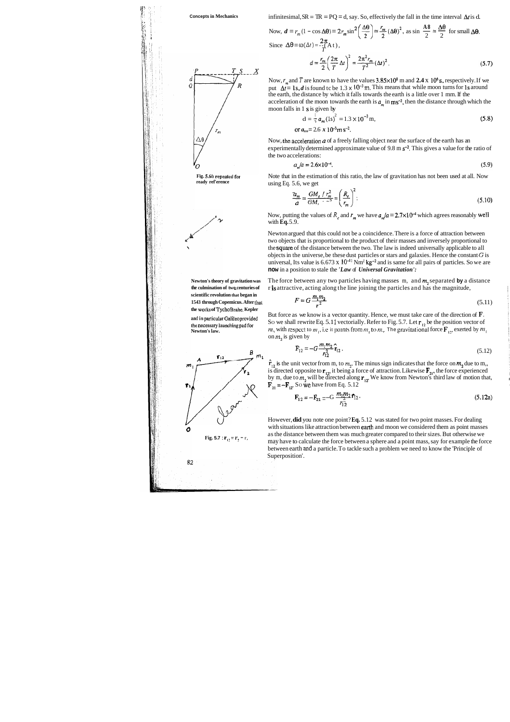S

 $\c{X}$ 

*'II* , , 1: **5** ; \*,: . "I: i' **b!** *'l*  **<sup>i</sup>**:: 1:: .,

**Concepts in Mechanics** infinitesimal, SR = TR = PQ = d, say. So, effectively the fall in the time interval At is d. . - **.i,** I \$~ ;, '{ Now, *d* = *r,,,* (1 - cos **A8)** = **2rm** sin **A8 A8** (\$1 ; %(A@)', as sin - = - for small **A\*.**  2 2 **2n** Since **A0** = *w(At)* <sup>=</sup> - -(At), *T*  

Now,  $r_m$  and *T* are known to have the values  $3.85 \times 10^8$  m and  $2.4 \times 10^6$  s, respectively. If we put  $\Delta t = 1s$ , *d* is found tc be 1.3 x 10<sup>-3</sup> m. This means that while moon turns for 1s around the earth, the distance by which it falls towards the earth is a little over 1 mm. If the acceleration of the moon towards the earth is  $a_m$  in ms<sup>-2</sup>, then the distance through which the moon falls in 1 s is given by

Now, the acceleration  $a$  of a freely falling object near the surface of the earth has an experimentally determined approximate value of 9.8 m  $s^{-2}$ . This gives a value for the ratio of the two accelerations:

$$
a_{\rm m}/a = 2.6 \times 10^{-4}.
$$
 (5.9)

$$
d = \frac{1}{2} a_m (1s)^2 = 1.3 \times 10^{-3} m,
$$
\n(5.8)

or  $a_{,y} = 2.6 \times 10^{-3}$  m s<sup>-2</sup>.

**Newton's theory of gravitation was** The force between any two particles having masses m, and mz separated **by** a distance the culmination of two centuries of ris attractive, acting along the line joining the particles and has the magnitude,

Note that in the estimation of this ratio, the law of gravitation has not been used at all. Now using Eq. 5.6, we get

$$
\frac{\partial z_m}{\partial t} = \frac{GM_e/r_m^2}{GM, r^2} = \left(\frac{R_e}{r_m}\right)^2.
$$
\n(5.10)

Now, putting the values of  $R_e$  and  $r_m$  we have  $a_m/a = 2.7 \times 10^{-4}$  which agrees reasonably well with **Eq.** 5.9.

**and in particular Galileo provided** But force as we know is a vector quantity. Hence, we must take care of the direction of **F**. **the necessary launching pad for** SO we shall rewrite Eq. 5.11 vectorially. Refer to Fig. 5.7. Let **r**<sub>12</sub> be the position vector of **Newton's law.** *n***<sub>1</sub>, with respect to**  $m_1$ **, i.e it points from**  $m_1$  **to**  $m_2$ **. The gravitational force**  $\mathbf{F}_{12}$ **, exerted by**  $m_1$ on **m,** is given by

Newton argued that this could not be a coincidence. There is a force of attraction between two objects that is proportional to the product of their masses and inversely proportional to the square of the distance between the two. The law is indeed universally applicable to all objects in the universe, be these dust particles or stars and galaxies. Hence the constant  $G$  is universal, Its value is  $6.673 \times 10^{-11} \text{ Nm}^2 \text{ kg}^{-2}$  and is same for all pairs of particles. So we are **now** in a position to stale the *'Law* of *Universal Gravitation':* 



$$
F = G \frac{m_1 m_2}{r^2} \tag{5.11}
$$

$$
F_{12} = -G \frac{m_1 m_2}{r_{12}^2} \hat{r}_{12} \,. \tag{5.12}
$$

 $\hat{\mathbf{r}}_{12}$  is the unit vector from m, to  $m_2$ . The minus sign indicates that the force on  $m_2$ , due to m,, is directed opposite to  $\mathbf{r}_{12}$ , it being a force of attraction. Likewise  $\mathbf{F}_{21}$ , the force experienced by m, due to  $m_2$  will be directed along  $\mathbf{r}_{12}$ . We know from Newton's third law of motion that,  $\mathbf{F}_{21}$  =  $-\mathbf{F}_{12}$ . So we have from Eq. 5.12 it vector from m, to  $m_2$ . The minus sign indicates that the force on  $m_2$  due to m,,<br>opposite to  $\mathbf{r}_{12}$ , it being a force of attraction. Likewise  $\mathbf{F}_{21}$ , the force experienced<br>o  $m_2$  will be directed along

$$
\mathbf{F}_{12} = -\mathbf{F}_{21} = -\mathbf{G} \frac{m_1 m_2}{r_{12}^2} \mathbf{f}_{12}.
$$
 (5.12a)

However, **did** you note one point? **Eq.** 5.12 was stated for two point masses. For dealing with situations like attraction between earth and moon we considered them as point masses as the distance between them was much greater compared to their sizes. But otherwise we may have to calculate the force between a sphere and a point mass, say for example the force between earth **md** a particle. To tackle such a problem we need to know the 'Principle of Superposition'.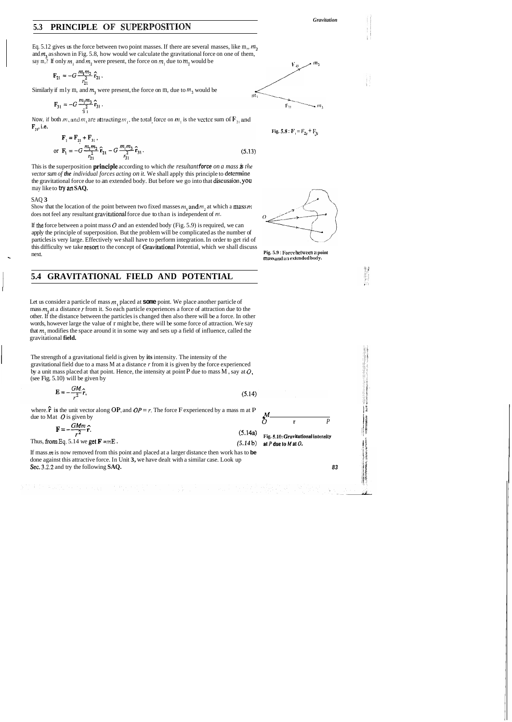### **5.3 PRINCIPLE OF SUPERPOSITION**

Eq. 5.12 gives us the force between two point masses. If there are several masses, like  $m_1$ ,  $m_2$ and **m,** as shown in Fig. 5.8, how would we calculate the gravitational force on one of them, say m,? If only  $m_1$  and  $m_2$  were present, the force on  $m_1$  due to  $m_2$  would be  $V_A \sim m_1$ 

$$
\mathbf{F}_{21} = -G \frac{m_1 m_2}{r_{21}^2} \hat{\mathbf{r}}_{21}.
$$

Similarly if mly m, and  $m_3$  were present, the force on m, due to  $m_3$  would be

*Gravitation* 



$$
\mathbf{F}_{31} = -G \, \frac{m_1 m_3}{\frac{2}{3} \, 1} \, \hat{\mathbf{r}}_{31} \, .
$$

Now, if both m, and  $m_3$  are attracting  $m_1$ , the total force on  $m_1$  is the vector sum of  $F_{21}$  and  $F_{31}$ , i.e.

$$
\mathbf{F}_1 = \mathbf{F}_{21} + \mathbf{F}_{31},
$$
  
or 
$$
\mathbf{F}_1 = -G \frac{m_1 m_2}{r_{21}^2} \hat{\mathbf{r}}_{21} - G \frac{m_1 m_3}{r_{31}^2} \hat{\mathbf{r}}_{31}.
$$
 (5.13)

This is the superposition principie according to which *the resultant* **force** *on a mass* **is** *the vector sum of the individual forces acting on it.* We shall apply this principle to determine the gravitational force due to an extended body. But before we go into that discussion, you may like to **try an SAQ.** 

Fig. 5.8 : 
$$
F_3 = F_{2t} + F_{3t}
$$

一部分

#### SAQ **3**

Show that the location of the point between two fixed masses  $m_1$  and  $m_2$  at which a mass  $m_1$ does not feel any resultant gravitational force due to than is independent of m.

If the force between a point mass  $O$  and an extended body (Fig. 5.9) is required, we can apply the principle of superposition. But the problem will be complicated as the number of particles is very large. Effectively we shall have to perform integration. In order to get rid of this difficulty we take resort to the concept of Gravitational Potential, which we shall discuss<br>next. **Pig. 5.9** : Force between a point<br>mass and an extended body.

## 1 **5.4 GRAVITATIONAL FIELD AND POTENTIAL**

Let us consider a particle of mass **rn,** placed at **some** point. We place another particle of mass **m,** at a distance *r* from it. So each particle experiences a force of attraction due to the other. If the distance between the particles is changed then also there will be a force. In other words, however large the value of r might be, there will be some force of attraction. We say that **m,** modifies the space around it in some way and sets up a field of influence, called the gravitational **field.** 

The strength of a gravitational field is given by **its** intensity. The intensity of the gravitational field due to a mass M at a distance *r* from it is given by the force experienced by a unit mass placed at that point. Hence, the intensity at point P due to mass M , say at **0,**  (see Fig. 5.10) will be given by

$$
\mathbf{E} = -\frac{GM}{r^2}\hat{\mathbf{r}},\tag{5.14}
$$

where.  $\hat{\mathbf{r}}$  is the unit vector along **OP**, and  $OP = r$ . The force F experienced by a mass m at P due to Mat  $\overrightarrow{O}$  is given by  $\overrightarrow{O}$ 



$$
\mathbf{F} = -\frac{GMm}{r^2}\hat{\mathbf{r}}.
$$
\nThus, from Eq. 5.14 we get  $\mathbf{F} = m\mathbf{E}$ .  
\n
$$
\begin{bmatrix}\n\mathbf{F} = -\frac{GMm}{r^2}\hat{\mathbf{r}}.\n\end{bmatrix}
$$
\n
$$
\begin{bmatrix}\n\mathbf{F} = -\frac{GMm}{r^2}\hat{\mathbf{r}}.\n\end{bmatrix}
$$
\n
$$
\begin{bmatrix}\n5.14a \\
\text{Fig. 5.10: Gravlational intensity} \\
\text{at } P \text{ due to } M \text{ at } O.\n\end{bmatrix}
$$

If mass **m** is now removed from this point and placed at a larger distance then work has to **be**  done against this attractive force. In Unit **3,** we have dealt with a similar case. Look up Sec. **3.2.2** and try the following **SAQ. 83** 

 $\sum_{i=1}^n\sum_{i=1}^n\frac{1}{n}\sum_{i=1}^n\sum_{j=1}^n\frac{1}{n}\sum_{i=1}^n\frac{1}{n}\sum_{i=1}^n\frac{1}{n}\sum_{i=1}^n\frac{1}{n}\sum_{i=1}^n\frac{1}{n}\sum_{i=1}^n\frac{1}{n}\sum_{i=1}^n\frac{1}{n}\sum_{i=1}^n\frac{1}{n}\sum_{i=1}^n\frac{1}{n}\sum_{i=1}^n\frac{1}{n}\sum_{i=1}^n\frac{1}{n}\sum_{i=1}^n\frac{1}{n}\sum_{i=1}$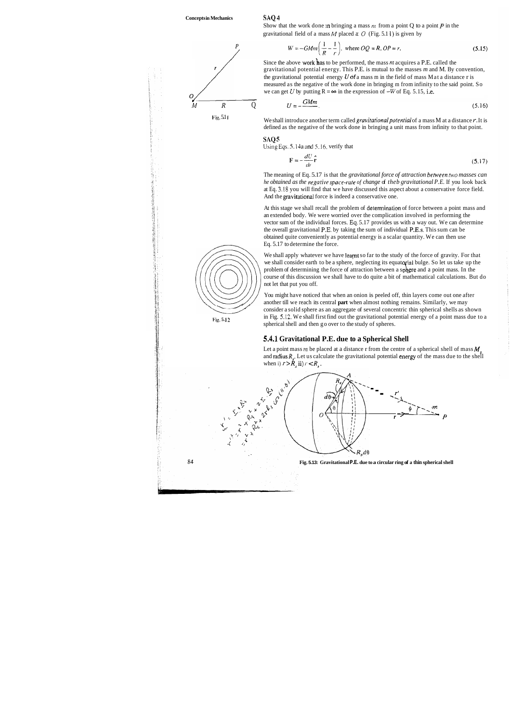The meaning of Eq. 5.17 is that the *gravitational force of attraction between two masses can he obtained as the negative space-rate of change d theb gravitational P.E.* If you look back at Eq. 3.18 you will find that we have discussed this aspect about a conservative force field. And the gravitational force is indeed a conservative one.

**l:i~.** 5.1 **<sup>1</sup>**We shall introduce another term called *gruvitarionalpotential* of a mass M at a distance *r.* It is defined as the negative of the work done in bringing a unit mass from infinity to that point.

**SliC) 5** 

Ubing **Eqs.** 5.14a and 5.16. verify that

$$
\mathbf{F} = -\frac{dU}{dr}\hat{\mathbf{r}} \tag{5.17}
$$

We shall apply whatever we have learnt so far to the study of the force of gravity. For that we shall consider earth to be a sphere, neglecting its equatorial bulge. So let us take up the problem of determining the force of attraction between a sphere and a point mass. In the course of this discussion we shall have to do quite a bit of mathematical calculations. But do not let that put you off.



Show that the work done in bringing a mass  $m$  from a point Q to a point  $P$  in the gravitational field of a mass  $M$  placed a:  $O$  (Fig. 5.1 l) is given by

$$
W = -GMm\left(\frac{1}{R} - \frac{1}{r}\right), \text{ where } OQ = R, OP = r.
$$
 (5.15)

Since the above work has to be performed, the mass m acquires a P.E. called the gravitational potential energy. This P.E. is mutual to the masses *m* and M. By convention, the gravitational potential energy **U** of a mass m in the field of mass Mat a distance r is measured as the negative of the work done in bringing m from infinity to the said point. So we can get *U* by putting  $R = \infty$  in the expression of  $-W$  of Eq. 5.15, i.e.

$$
U = -\frac{GMm}{2}.\tag{5.16}
$$

You might have noticed that when an onion is peeled off, thin layers come out one after another till we reach its central **part** when almost nothing remains. Similarly, we may consider a solid sphere as an aggregate of several concentric thin spherical shells as shown **Fig. 5.12** in Fig. 5.12. We shall first find out the gravitational potential energy of a point mass due to a spherical shell and then go over to the study of spheres.

#### 5.4.1 Gravitational P.E. due to a Spherical Shell

Let a point mass  $m$  be placed at a distance r from the centre of a spherical shell of mass  $M$ . and radius  $R<sub>s</sub>$ . Let us calculate the gravitational potential energy of the mass due to the shell when i)  $r > R<sub>s</sub>$  **ii**)  $r < R<sub>s</sub>$ .

At this stage we shall recall the problem of determination of force between a point mass and an extended body. We were worried over the complication involved in performing the vector sum of the individual forces. **Eq.** 5.17 provides us with a way out. We can determine the overall gravitational P.E. by taking the sum of individual P.E.s. This sum can be obtained quite conveniently as potential energy is a scalar quantity. We can then use Eq. 5.17 to determine the force.

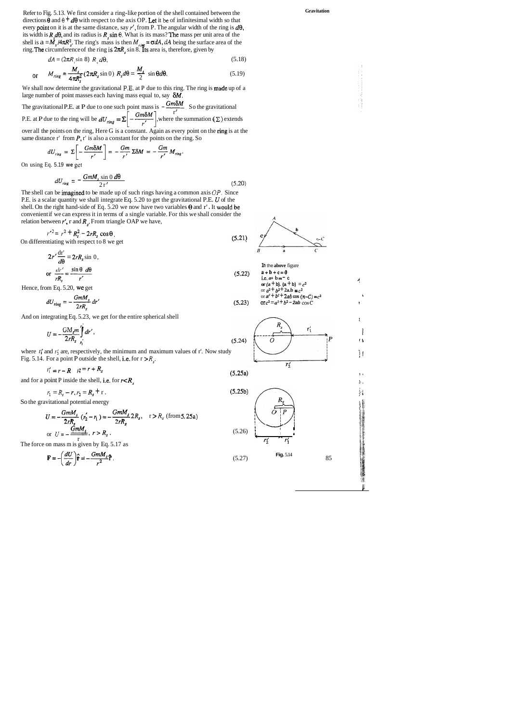We shall now determine the gravitational **P.E.** at P due to this ring. The ring is made up of a large number of point masses each having mass equal to, say  $\delta M$ .

The gravitational P.E. at P due to one such point mass is  $-\frac{Gm\delta M}{r}$ . So the gravitational  $\frac{1}{r'}$ P.E. at P due to the ring will be  $dU_{ring} = \Sigma \left| -\frac{\partial m\partial M}{\partial x} \right|$ , where the summation  $(\Sigma)$  extends

over all the points on the ring, Here G is a constant. Again as every point on the ring is at the same distance  $r'$  from  $P$ ,  $r'$  is also a constant for the points on the ring. So

$$
dU_{\text{ring}} = \Sigma \left[ -\frac{Gm\delta M}{r'} \right] = -\frac{Gm}{r'} \Sigma \delta M = -\frac{Gm}{r'} M_{\text{ring}}.
$$

Refer to Fig. 5.13. We first consider a ring-like portion of the shell contained between the directions  $\theta$  and  $\theta$   $\neq$  d $\theta$  with respect to the axis OP. Let it be of infinitesimal width so that every point on it is at the same distance, say  $r'$ , from P. The angular width of the ring is  $d\theta$ , its width is  $R_{\mu}d\theta$ , and its radius is  $R_{\mu}$ sin  $\theta$ . What is its mass? The mass per unit area of the shell is  $a = M_s/4\pi R_s^2$ . The ring's mass is then  $M_{ring} = \sigma dA$ ,  $dA$  being the surface area of the ring. **The** circumference of the ring is 2πR<sub>s</sub> sin 8. Its area is, therefore, given by idth is  $R_s d\theta$ , and its radius is  $R_s \sin \theta$ . What is its mass? The mass per unit area of the<br>
is  $a = M_s / 4\pi R_s^2$ . The ring's mass is then  $M_{r,mg} = \sigma dA$ ,  $dA$  being the surface area of the<br> **The** circumference of the ring

$$
dA = (2\pi R_s \sin 8) R_s d\theta, \tag{5.18}
$$

$$
M_{ring} = \frac{M_s}{4\pi R_s^2} (2\pi R_s \sin 0) R_s d\theta = \frac{M_s}{2} \sin \theta d\theta. \tag{5.19}
$$

**In** the **above** figure **a+b+c=O is, a+ <sup>b</sup>**= - **<sup>c</sup> or**  $(a + b) = c$ <br> **or**  $(a + b)$ .  $(a + b) = c^2$ or  $a^2 + b^2 + 2a$ .b =  $c^2$ or  $a^2 + b^2 + 2ab \cos (\pi - C) = c^2$ or  $c^2 = a^2 + b^2 - 2ab \cos C$ 

On using Eq. 5.19 **we** gct

$$
dU_{\text{ring}} = -\frac{GmM_s \sin 0 \, d\theta}{2 \, r'}
$$
\n
$$
(5.20)
$$

The shell can be imagined to be made up of such rings having a common axis  $OP$ . Since P.E. is a scalar quantity we shall integrate Eq. 5.20 to get the gravitational P.E. *U* of the shell. On the right hand-side of Eq. 5.20 we now have two variables  $\theta$  and r'. It would be convenient if we can express it in terms of a single variable. For this we shall consider the relation between  $r'$ , r and  $R_s$ . From triangle OAP we have,

$$
r'^2 = r^2 + R_s^2 - 2rR_s \cos\theta
$$
  
On differentiating with respect to 8 we get\t\t(5.21)

Intiating with respect to 8 we get

\n
$$
2r' \frac{dr'}{d\theta} = 2rR_s \sin \theta,
$$
\nor

\n
$$
\frac{dr'}{rR_s} = \frac{\sin \theta \, d\theta}{r'}
$$
\n(5.21)

Hence, from Eq. 5.20, we get

$$
dU_{ring} = -\frac{GmM_s}{2rR_s} dr'
$$
\n(5.23)

**Gravitation** 

$$
U = -\frac{GM_s m}{2rR_s} \int_{r'_1}^{r_1} dr',
$$
\n(5.24)  $\left(\frac{R_s}{O}\right) \left(\frac{r'_1}{r'_1}\right) P$ 

where  $I'_1$  and  $I'_2$  are, respectively, the minimum and maximum values of r'. Now study if f Fig. 5.14. For a point P outside the shell, i.e. for  $r > R<sub>r</sub>$ .



$$
r_1' = r - R \t r^2 = r + R_s \t (5.25a)
$$

,

r.

$$
r_1 = R_s - r, r_2 = R_s + r.
$$
 (5.25b)

So the gravitational potential energy

$$
U = -\frac{GmM_s}{2rR_s} (r'_2 - r_1) = -\frac{GmM_s}{2rR_s} 2R_s, \quad r > R_s \text{ (from 5.25a)}
$$
  
or  $U = -\frac{GmM_s}{2rR_s}, \quad r > R_s.$  (5.26)

The force on mass m is given by Eq. 5.17 as  $\frac{r_1}{r_2} + \frac{r_1}{r_1}$ 

$$
\mathbf{F} = -\left(\frac{dU}{dr}\right)\hat{\mathbf{r}} = -\frac{GmM_s}{r^2}\hat{\mathbf{r}},
$$

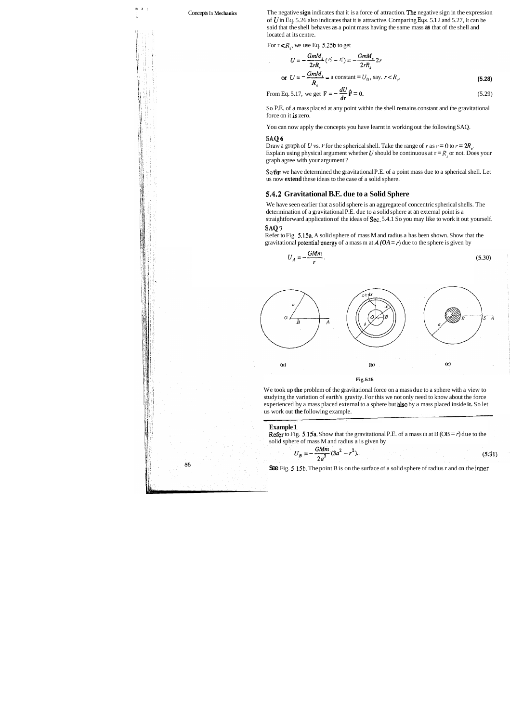**I5** > ,

Concepts In Mechanics The negative **sign** indicates that it is a force of attraction. The negative sign in the expression of *U* in Eq. 5.26 also indicates that it is attractive. Comparing **Eqs.** 5.1 2 and 5.27, it can be said that the shell behaves as a point mass having the same mass **as** that of the shell and located at its centre.

For  $r < R_s$ , we use Eq. 5.25b to get

Is a total that the shell behaves as a point mass having the same mass as that of the shell and the shell of the shell and the shell of the shell. For 
$$
r < R_s
$$
, we use Eq. 5.25b to get

\n
$$
U = -\frac{GmM_s}{2rR_s} \cdot (r'_2 - r'_1) = -\frac{GmM_s}{2rR_s} 2r
$$
\nor 
$$
U = -\frac{GmM_s}{R_s} - a \text{ constant} = U_0, \text{ say. } r < R_s.
$$
\n(5.28)

\nFrom Eq. 5.17, we get 
$$
\mathbf{F} = -\frac{dU}{dr} \mathbf{\hat{r}} = 0.
$$

Draw a graph of *U* vs. *r* for the spherical shell. Take the range of *r* as  $r = 0$  to  $r = 2R$ . Explain using physical argument whether *U* should be continuous at  $r = R$ , or not. Does your graph agree with your argument'?

So P.E. of a mass placed at any point within the shell remains constant and the gravitational force on it is zero.

You can now apply the concepts you have learnt in working out the following SAQ.

#### **SAQ 6**

Refer to Fig. 5.15a. A solid sphere of mass M and radius a has been shown. Show that the gravitational potential energy of a mass m at  $\vec{A}$  ( $OA = r$ ) due to the sphere is given by

**SQ far** we have determined the gravitational P.E. of a point mass due to a spherical shell. Let us now **extend** these ideas to the case of a solid sphere.

**Refer** to Fig. 5.15a. Show that the gravitational P.E. of a mass m at B (OB =  $r$ ) due to the solid sphere of mass M and radius a is given by

$$
U_B = -\frac{GMm}{2a^3}(3a^2 - r^2). \tag{5.31}
$$

#### **5.4.2 Gravitational B.E. due to a Solid Sphere**

We have seen earlier that a solid sphere is an aggregate of concentric spherical shells. The determination of a gravitational P.E. due to a solid sphere at an external point is a straightforward application of the ideas of Sec. 5.4.1 So you may like to work it out yourself. **SAQ 7** 

$$
U_A = -\frac{GMm}{r} \,. \tag{5.30}
$$



We took up **the** problem of the gravitational force on a mass due to a sphere with a view to studying the variation of earth's gravity. For this we not only need to know about the force experienced by a mass placed external to a sphere but 8lso by a mass placed inside **it.** So let us work out **the** following example.

#### **Example** 1

**See** Fig. **5.15b.** The point B is on the surface of a solid sphere of radius r and on the **jnner**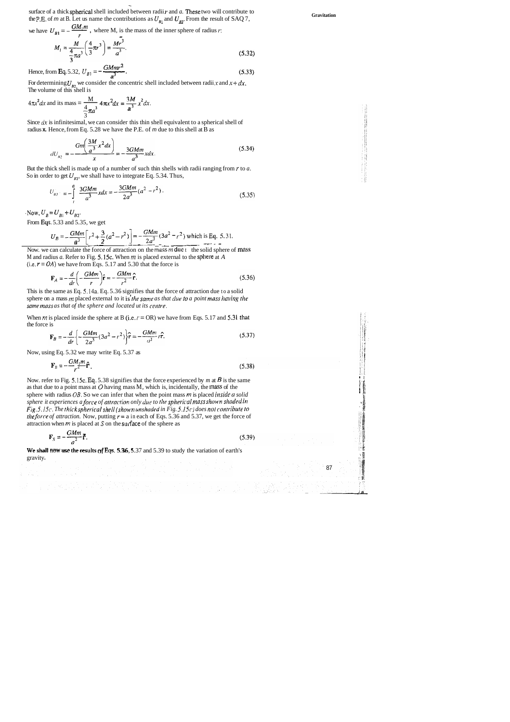surface of a thick spherical shell included between radii r and a. These two will contribute to the P.E. of m at B. Let us name the contributions as  $U_{\beta_1}$  and  $U_{\beta_2}$ . From the result of SAQ 7, **Gravitation** surface of a thick spherical shell included between radii *r* and *a*. These two will the P,E, of *m* at B. Let us name the contributions as  $U_{p_1}$  and  $U_{p_2}$ . From the result we have  $U_{p_1} = -\frac{GM_1m}{r}$ , where M, is

surface of a uncx spherical shell included between 
$$
\tan r
$$
 and a. These two will contribute to  
the P.E. of m at B. Let us name the contributions as  $U_{B1}$  and  $U_{B2}$ . From the result of SAQ 7,  
we have  $U_{B1} = -\frac{GM_1m}{r}$ , where M, is the mass of the inner sphere of radius r:  

$$
M_1 = \frac{M}{\frac{4}{3}\pi a^3} \left(\frac{4}{3}\pi r^3\right) = \frac{Mr^3}{a^3}.
$$
(5.32)  
Hence, from Eq. 5.32,  $U_{B1} = -\frac{GMmr^2}{a^3}$ .  
For determining  $U_{B2}$  we consider the concentric shell included between radii x and  $x + dx$ .

 $(5.33)$  $\mathbf{a}^3$ 

For determining  $U_{B2}$  we consider the concentric shell included between radii x and  $x + dx$ . The volume of this shell is

But the thick shell is made up of a number of such thin shells with radii ranging from *r* to *a.*  So in order to get  $U_{B2}$ , we shall have to integrate Eq. 5.34. Thus,

Hence, from Eq. 5.32, 
$$
U_{B1} = -\frac{GMmr^2}{a^3}
$$
.  
For determining  $U_{B2}$  we consider the concentric she  
The volume of this shell is  
 $4\pi x^2 dx$  and its mass  $=\frac{M}{\frac{4}{3}\pi a^3} 4\pi x^2 dx = \frac{3M}{a^3} x^2 dx$ .

M and radius *a.* Refer to Fig. 5.1%. When **m** is placed external to the sphere at *A*  (i.e.  $r = OA$ ) we have from Eqs. 5.17 and 5.30 that the force is

$$
\mathbf{F}_A = -\frac{d}{dr} \left( -\frac{GMm}{r} \right) \hat{\mathbf{r}} = -\frac{GMm}{r^2} \hat{\mathbf{r}}.
$$
 (5.36)

Since **dx** is infinitesimal, we can consider this thin shell equivalent to a spherical shell of radius **x.** Hence, from Eq. 5.28 we have the P.E. of m due to this shell at B as

$$
dU_{n_2} = -\frac{Gm\left(\frac{3M}{a^3}x^2dx\right)}{x} = -\frac{3GMm}{a^3}xdx.
$$
 (5.34)

This is the same as Eq. 5.14a. Eq. 5.36 signifies that the force of attraction due to a solid sphere on a mass *m* placed external to it is the same as that due to a point mass having the same mass as that of the sphere and located ut its centre.

When *m* is placed inside the sphere at B (i.e.  $r = OR$ ) we have from Eqs. 5.17 and 5.31 that the force is

$$
\mathbf{F}_B = -\frac{d}{dr} \left\{ -\frac{GMm}{2a^3} (3a^2 - r^2) \right\} \hat{\mathbf{r}} = -\frac{GMm}{a^3} r \hat{\mathbf{r}}.
$$
 (5.37)

$$
U_{B2} = -\int_{r}^{a} \frac{3GMm}{a^3} x dx = -\frac{3GMm}{2a^3} (a^2 - r^2).
$$
 (5.35)

 $V_{B} = U_{B1} + U_{B2}$ .

From Eqs. 5.33 and 5.35, we get

$$
U_B = -\frac{GMm}{a^3} \left[ r^2 + \frac{3}{2} (a^2 - r^2) \right] = -\frac{GMm}{2a^3} (3a^2 - r^2)
$$
 which is Eq. 5.31.  
Now. we can calculate the force of attraction on the mass m due t the solid sphere of mass

Now, using Eq. 5.32 we may write Eq. 5.37 as

20% 10% A 10% A 10% A 10%

$$
\mathbf{F}_B = -\frac{GM_1m}{r^2}\hat{\mathbf{r}}.
$$
\nNow. refer to Fig. 5.15c. Eq. 5.38 signifies that the force experienced by *m* at *B* is the same

as that due to a point mass at  $O$  having mass  $M$ , which is, incidentally, the mass of the sphere with radius  $OB$ . So we can infer that when the point mass  $m$  is placed *inside a solid sphere it experiences a force of attraction only due to the spherical mass shown shaded in Fig. 5.15c. The thick spherical shell (shown unshaded in Fig. 5.15c) does not contribute to the force of attraction.* Now, putting  $r = a$  in each of Eqs. 5.36 and 5.37, we get the force of attraction when  $m$  is placed at  $S$  on the surface of the sphere as *G* attraction. Now,<br> **F**<sub>S</sub> =  $-\frac{GMm}{2}$  **F**.

I.

<sup>5</sup>**4'** 

**t** 

$$
\mathbf{F}_{\mathbf{S}} = -\frac{GMm}{a^2}\mathbf{F}.\tag{5.39}
$$

*a*<br>We shall now use the results of Eqs. 5.36, 5.37 and 5.39 to study the variation of earth's  $\frac{1}{2}$  gravity.

a

87

.J **a**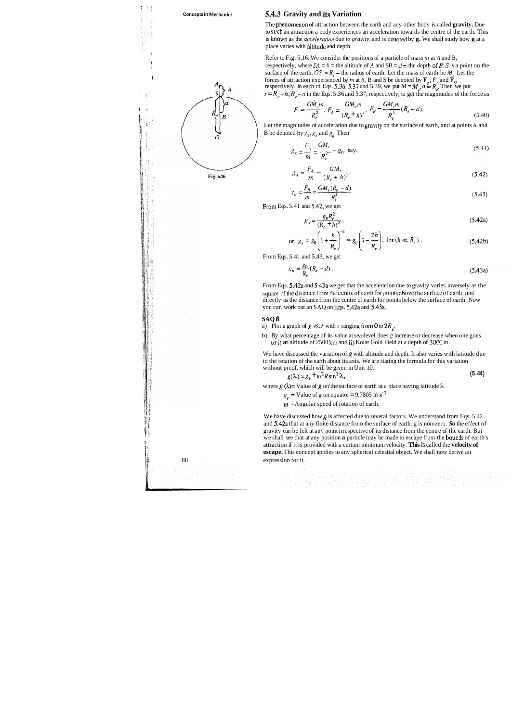#### **Concepts in Mecharlics 5.4.3 Gravity and its Variation**

The phenomenon of attraction between the earth and any other body is called gravity. Due to such an attraction a body experiences an acceleration towards the centre of the earth. This is known as the *accelerution* due *to gravity,* and is denoted by **g.** We shall study how **g** at a place varies with aititude and depth.

Refer to Fig. 5.16. We consider the positions of a particle of mass *m* at *A* and B, <sup>I</sup> respectively, where  $SA = h =$  the altitude of A and  $SB = d =$  the depth of B. S is a point on the surface of the earth.  $OS = R_e$  = the radius of earth. Let the mass of earth be  $M_e$ . Let the If the same of attraction experienced by *m* at A, B and S be denoted by  $\mathbf{F}_A$ ,  $\mathbf{F}_A$  and  $\mathbf{F}_S$ , respectively. In each of Eqs. 5.36, 5.37 and 5.39, we put  $M = M_e$ ,  $a = R_e$ . Then we put  $r = R<sub>e</sub> + h, R<sub>e</sub> - d$  in the Eqs. 5.36 and 5.37, respectively, to get the magnitudes of the force as

**1;** Let the magnitudes of acceleration due to gravlty on the surface of earth, and at points A and **12** B be denoted by  $g_S$ ,  $g_A$  and  $g_B$ . Then

$$
F = \frac{G\dot{M}_e m}{R_e^2}, F_A = \frac{GM_e m}{(R_e + h)^2}, F_B = \frac{GM_e m}{R_e^3}(R_e - d). \tag{5.40}
$$

We have discussed the variation of  $g$  with altitude and depth. It also varies with latitude due to the rotation of the earth about its axis. We are stating the formula for this variation without proof, which will be given in Unit 10.

agnitudes of acceleration due to gravity on the surface of earth, and at points A and

\nand by 
$$
g_S
$$
,  $g_A$  and  $g_B$ . Then

\n
$$
g_S = \frac{F_S}{m} = \frac{GM}{R_e^2} - g_0
$$
\nsay,

\n(5.41)

$$
g_{A} = \frac{F_{A}}{m} = \frac{GM}{(R_{e} + h)^{2}},
$$
\n(5.42)

$$
g_n = \frac{F_B}{m} = \frac{GM_e(R_e - d)}{R_e^3}
$$
\n
$$
(5.43)
$$

From Eqs. 5.41 and **5.42,** we get

$$
S_A = \frac{g_0 R_e^2}{\left(R_s + h\right)^2},\tag{5.42a}
$$

or 
$$
g_A = g_0 \left( 1 + \frac{h}{R_e} \right)^{-2} = g_0 \left( 1 - \frac{2h}{R_e} \right)
$$
, for  $(h \ll R_e)$ . (5.42b)

From Eqs. 5.41 and 5.43, we get

$$
g_{B} = \frac{g_{0}}{R_{e}}(R_{e} - d). \tag{5.43a}
$$

We have discussed how g is affected due to several factors. We understand from Eqs.  $5.42$ and 5.42a that at any finite distance from the surface of earth, g is non-zero. *So* the effect of gravity can be felt at any point irrespective of its distance from the centre of the earth. But we shall see that at any position **a** particle may be made to escape from the **bourds** of earth's : i attraction if it is provided with a certain minimum velocity. **This** is called the **velocity of escape.** This concept applies to any spherical celestial object. We shall now derive an

a Kalendar († 1958)<br>1908 - Johann Barnett, frantzistan frantziar († 1907)<br>1918 - Johann Barnett, frantziar frantziar († 1908)



From Eqs. 5.42a and 5.43a we get that the acceleration due to gravity varies inversely as the square of the distance from the centre of earth for points above the surface of earth, and directly as the distance from the centre of earth for points below the surface of earth. Now you can work out an SAQ on **Eqs.** 5.42a and 5.43a.

#### **SAQ 8**

- a) Plot a graph of g vs. *r* with r ranging from 0 to  $2R_e$ .
- b) By what percentage of its value at sea-level does  $g$  increase or decrease when one goes to i) an altitude of 2500 km and ii) Kolar Gold Field at a depth of 3000 m.

$$
g(\lambda) = g_e + \omega^2 R \sin^2 \lambda, \tag{5.44}
$$

where  $g(\lambda)$ = Value of  $g$  on'the surface of earth at a place having latitude  $\lambda$ 

 $g_e$  = Value of g on equator = 9.7805 m s<sup>-2</sup>

 $\omega$  =Angular speed of rotation of earth.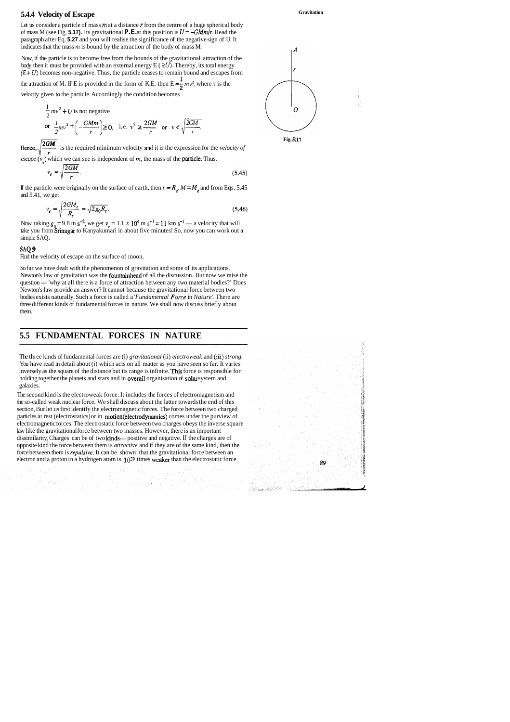# **5.4.4 Velocity of Escape** Gravitation **Gravitation**

Let us consider a particle of mass  $m$  at a distance  $r$  from the centre of a huge spherical body of mass M (see Fig. **5.17).** Its gravitational **P.E.** at this position is  $U = -GMm/r$ . Read the paragraph after Eq. **5.27** and you will realise the significance of the negative sign of U. It indicates that the mass *m* is bound by the attraction of the body of mass M.

Now, if the particle is to become free from the bounds of the gravitational attraction of the body then it must be provided with an external energy  $E \in \Sigma U$ . Thereby, its total energy  $(E + U)$  becomes non-negative. Thus, the particle ceases to remain bound and escapes from

the attraction of M. If E is provided in the form of K.E. then  $E = \frac{1}{2} m v^2$ , where v is the velocity given to the particle. Accordingly the condition becomes

If the particle were originally on the surface of earth, then  $r = R_e$ ,  $M = M_e$  and from Eqs. 5.45 and 5.41, we get

$$
\nu_e = \sqrt{\frac{2GM_e}{R_e}} = \sqrt{2g_0 R_e}.\tag{5.46}
$$

 $v_e = \sqrt{\frac{2GM_e}{R_e}} = \sqrt{2g_0R_e}$ . (5.46 <br>Now, taking  $g_0 = 9.8$  m s<sup>-2</sup>, we get  $v_e = 1.1 \times 10^4$  m s<sup>-1</sup> = 11 km s<sup>-1</sup> — a velocity that will take you from Srinagar to Kanyakumari in about five minutes! So, now you can work o simple SAQ.

$$
\frac{1}{2}mv^2 + U
$$
 is not negative  
or 
$$
\frac{1}{2}mv^2 + \left(-\frac{GMm}{r}\right) \ge 0, \text{ i.e. } v^2 \ge \frac{2GM}{r} \text{ or } v \ne \sqrt{\frac{2GM}{r}}.
$$

Hence,  $\sqrt{\frac{2GM}{r}}$  is the required minimum velocity and it is the expression for the *velocity of escape*  $(v<sub>n</sub>)$  which we can see is independent of *m*, the mass of the **particle**. Thus.

$$
\nu_e = \sqrt{\frac{2GM}{r}}.\tag{5.45}
$$

#### **SAQ 9**

Find the velocity of escape on the surface of moon.

o Toma (1965), político (1966)<br>Galeria (1965), político (1966)<br>Ballio (1966), político (1966), político

So far we have dealt with the phenomenon of gravitation and some of its applications. Newton's law of gravitation was the **fountainhead** of all the discussion. But now we raise the So far we have dealt with the phenomenon of gravitation and some of its applications.<br>Newton's law of gravitation was the **fountainhead** of all the discussion. But now we raise the question — 'why at all there is a force o Newton's law provide an answer? It cannot because the gravitational force between two bodies exists naturally. Such a force is called a *'Fundamental Force* in *Nature'.* There are three different kinds of fundamental forces in nature. We shall now discuss briefly about them.





# **5.5 FUNDAMENTAL FORCES IN NATURE**

The three kinds of fundamental forces are (i) *gravitational* (ii) *electroweak* and (iii) *strong.*  You have read in detail about (i) which acts on all matter as you have seen so far. It varies inversely as the square of the distance but its range is infinite. This force is responsible for holding together the planets and stars and in overall organisation of solar system and galaxies.

The second kind is the electroweak force. It includes the forces of electromagnetism and the so-called weak nuclear force. We shall discuss about the latter towards the end of this section, But let us first identify the electromagnetic forces. The force between two charged particles at rest (electrostatics) or in motion(e1ectrodynamics) comes under the purview of electromagnetic forces. The electrostatic force between two charges obeys the inverse square law like the gravitational force between two masses. However, there is an important dissimilarity, Charges can be of two **kinds**—positive and negative. If the charges are of opposite kind the force between them is *attractive* and if they are of the same kind, then the force between them is *repulsive*. It can be shown that the gravitational force between an electron and a proton in a hydrogen atom is **1039** times weaker than the electrostatic force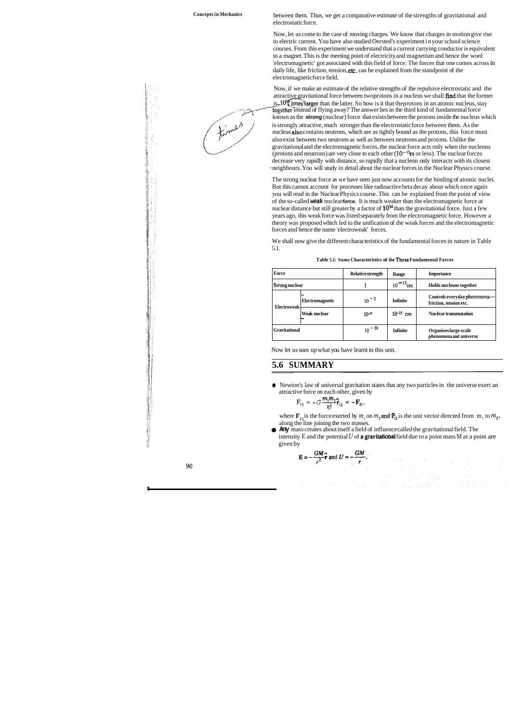**Concepts in Mechanics** between them. Thus, we get a comparative estimate of the strengths of gravitational and electrostatic force.

> Now, if we make an estimate of the relative strengths of the repulsive electrostatic and the attractive gravitational force between two protons in a nucleus we shall find that the former is  $10^{36}$  imes larger than the latter. So how is it that the protons in an atomic nucleus, stay together instead of flying away? The answer lies in the third kind of fundamental force known as the strong (nuclear) force that exists between the protons inside the nucleus which is strongly attractive, much stronger than the electrostatic force between them. As the nucleus also contains neutrons, which are as tightly bound as the protons, this force must also exist between two neutrons as well as between neutrons and protons. Unlike the gravitational and the electromagnetic forces, the nuclear force acts only when the nucleons (protons and neutrons) are very close to each other  $(10^{-15}m)$  or less). The nuclear forces decrease very rapidly with distance, so rapidly that a nucleon only interacts with its closest ' neighbours. You will study in detail about the nuclear forces in the Nuclear Physics course.

> Now, let us come to the case of moving charges. We know that charges in motion give rise to electric current. You have also studied Oersted's experiment in your school science courses. From this experiment we understand that a current carrying conductor is equivalent to a magnet. This is the meeting point of electricity and magnetism and hence the word 'electromagnetic' got associated with this field of force. The forces that one comes across in daily life, like friction, tension, etc. can be explained from the standpoint of the electromagnetic force field.

where  $\mathbf{F}_{12}$  is the force exerted by  $m_1$  on  $m_2$  and  $\mathbf{F}_{12}$  is the unit vector directed from m, to  $m_2$ , along the line joining the two masses.

The strong nuclear force as we have seen just now accounts for the binding of atomic nuclei. But this cannot account for processes like radioactive beta decay about which once again you will read in the Nuclear Physics course. This can be explained from the point of view of the so-called **weak** nuclear **force.** It is much weaker than the electromagnetic force at nuclear distance but still greater by a factor of  $10^{34}$  than the gravitational force. Just a few years ago, this weak force was listed separately from the electromagnetic force. However a theory was proposed which led to the unification of the weak forces and the electromagnetic forces and hence the name 'electroweak' forces.

We shall now give the different characteristics of the fundamental forces in nature in Table 5.1.

| Table 5.1: Some Characteristics of the Three Fundamental Forces |  |
|-----------------------------------------------------------------|--|
|-----------------------------------------------------------------|--|

Now let us sum up what you have learnt in this unit.

#### **5.6 SUMMARY**

**e** Newton's law of universal gravitation states that any two particles in the universe exert an attractive force on each other, given by

$$
F_{12} = -G \frac{m_1 m_2}{r_{12}^2} \hat{\mathbf{r}}_{12} = -\mathbf{F}_{21},
$$

| Force                |                        | <b>Relative strength</b> | Range         | <b>Importance</b>                                        |
|----------------------|------------------------|--------------------------|---------------|----------------------------------------------------------|
| Strong nuclear       |                        |                          | $10^{-13}$ cm | Holds nucleons together                                  |
| <b>Electroweak</b>   | <b>Electromagnetic</b> | $10^{-2}$                | Infinite      | Controls everyday phenomena---<br>friction, tension etc. |
|                      | Weak nuclear           | $10^{-5}$                | $10^{-15}$ cm | <b>Nuclear transmutation</b>                             |
| <b>Gravitational</b> |                        | $10^{-39}$               | Infinite      | Organises large-scale<br>phenomena and universe          |

@ **Any** mass creates about itself a field of influence called the gravitational field. The intensity E and the potential  $U$  of **a gravitational** field due to a point mass M at a point are given by

$$
\mathbf{E} = -\frac{GM}{r^2}\hat{\mathbf{r}} \text{ and } U = -\frac{GM}{r},
$$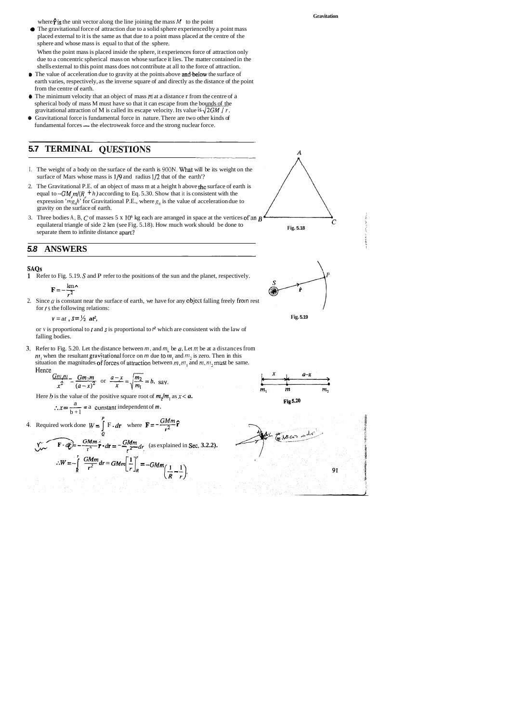- **a** The gravitational force of attraction due to a solid sphere experienced by a point mass placed external to it is the same as that due to a point mass placed at the centre of the sphere and whose mass is equal to that of the sphere. When the point mass is placed inside the sphere, it experiences force of attraction only due to a concentric spherical mass on whose surface it lies. The matter contained in the shells external to this point mass does not contribute at all to the force of attraction.
- **1.** The value of acceleration due to gravity at the points above and below the surface of earth varies, respectively, as the inverse square of and directly as the distance of the point from the centre of earth.
- @ The minimum velocity that an object of mass **m** at a distance r from the centre of a spherical body of mass M must have so that it can escape from the bounds of the gravitational attraction of M is called its escape velocity. Its value is  $\sqrt{2GM / r}$ .
- **0** Gravitational force is fundamental force in nature. There are two other kinds of gravitational attraction of M is called its escape velocity. Its value  $18\sqrt{2}G/M$ <br>Gravitational force is fundamental force in nature. There are two other kindamental forces — the electroweak force and the strong nuclear

# **5.7 TERMINAL QUESTIONS**

**Gravitation** 

where  $\hat{\mathbf{r}}$  is the unit vector along the line joining the mass M to the point

falling bodies.<br>
Refer to Fig. 5.<br>  $m_1$  when the restruation the minimage of  $\frac{Gm_1m_1}{x^2}$ . **3.** Refer to Fig. 5.20. Let the distance between  $m$ , and  $m$ , be  $a$ . Let  $m$  be at a distances from *m*, when the resultant gravitational force on *m* due to *m*, and  $m<sub>2</sub>$  is zero. Then in this situation the magnitudes of forces of attraction between  $m, m,$  and  $m, m,$  must be same. Hence

- I. The weight of a body on the surface of the earth is 900N. What will be its weight on the surface of Mars whose mass is  $1/9$  and radius  $1/2$  that of the earth'?
- 2. The Gravitational P.E. of an object of mass m at a height h above the surface of earth is equal to  $-GM_{m}/(R_{a} + h)$  according to Eq. 5.30. Show that it is consistent with the expression *'mg<sub>n</sub>h'* for Gravitational P.E., where  $g<sub>a</sub>$  is the value of acceleration due to gravity on the surface of earth.
- 3. Three bodies A, B, C of masses  $5 \times 10^6$  kg each are arranged in space at the vertices of an **B** equilateral triangle of side 2 km (see Fig. 5.18). How much work should be done to separate them to infinite distance apart?

**Fig. 5.18** 

 $\boldsymbol{A}$ 









### **5.8 ANSWERS**



1 Refer to Fig. 5.19. S and P refer to the positions of the sun and the planet, respectively.

$$
\mathbf{F} = -\frac{\mathrm{km}}{r^2}
$$

2. Since  $a$  is constant near the surface of earth, we have for any object falling freely from rest for *I* s the following relations:

 $v = at, s = \frac{1}{2}$  **at**, **f i**g. **5.19** 

or v is proportional to r and **s** is proportional to **r<sup>2</sup>**which are consistent with the law of

$$
\frac{Gm_1m_1}{x^2} - \frac{Gm_2m_2}{(a-x)^2} \text{ or } \frac{a-x}{x} = \sqrt{\frac{m_2}{m_1}} = b, \text{ say.}
$$

Here *h* is the value of the positive square root of  $m_2/m_1$  as  $x < a$ .

$$
\frac{Gm_1m_1}{x^2} = \frac{Gm_2m_2}{(a-x)^2} \text{ or } \frac{a-x}{x} = \sqrt{\frac{m_2}{m_1}} = b, \text{ say.}
$$
  
\nHere *b* is the value of the positive square root of  $m_2/m_1$  as  $x < a$ .  
\n
$$
\therefore x = \frac{a}{b+1} = a \text{ constant independent of } m.
$$
\n4. Required work done  $W = \int_{Q}^{P} F \cdot dr$  where  $F = -\frac{GMm_2}{r^2} \hat{r}$   
\n
$$
\therefore W = -\int_{R}^{P} \frac{GMm_2}{r^2} \hat{r} \cdot dr = -\frac{GMm_2}{r^2} dr \text{ (as explained in Sec. 3.2.2).}
$$
\n
$$
\therefore W = -\int_{R}^{P} \frac{GMm_2}{r^2} dr = GMm \left[\frac{1}{r}\right]_{R}^{P} = -GMm \left(\frac{1}{R} - \frac{1}{r}\right).
$$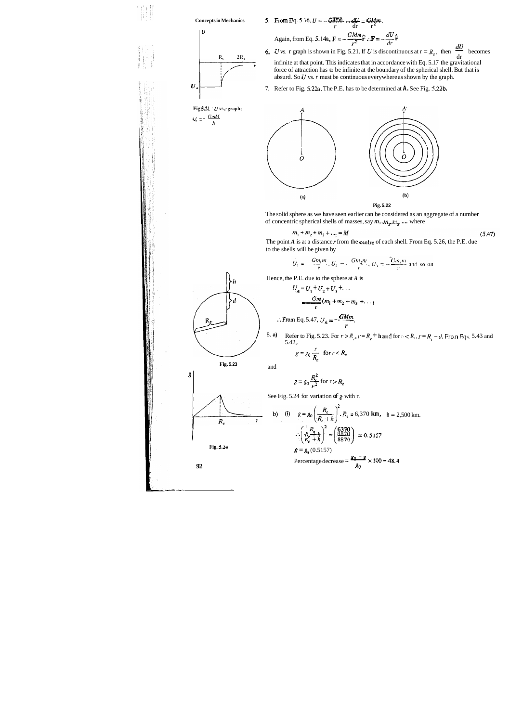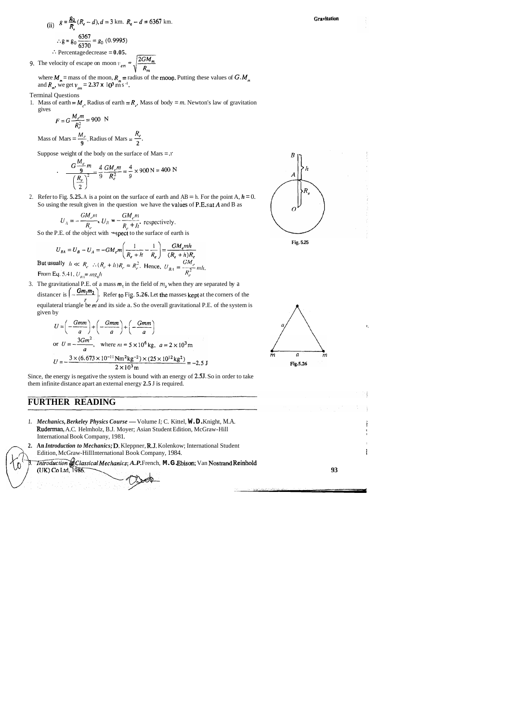(ii) 
$$
g = \frac{g_0}{R_e} (R_e - d), d = 3
$$
 km.  $R_e - d = 6367$  km.  

$$
\therefore g = g_0 \frac{6367}{6370} = g_0 (0.9995)
$$

**.Percentage decrease = 0.05.** 9. The velocity of escape on moon  $v_{em} = \sqrt{\frac{2GM_m}{R_m}}$ 

where  $M_m$  = mass of the moon,  $R_m$  = radius of the moon. Putting these values of  $G \cdot M_m$ and  $R_m$ , we get  $v_{cm} = 2.37 \times 10^3$  m s<sup>-1</sup>.

1. Mass of earth =  $M_e$ , Radius of earth =  $R_e$ , Mass of body =  $m$ . Newton's law of gravitation gives

$$
F = G \frac{M_e m}{R_e^2} = 900 \text{ N}
$$

Mass of Mars =  $\frac{M_e}{9}$ , Radius of Mars =  $\frac{R_e}{2}$ .

Suppose weight of the body on the surface of Mars =  $x$ 

#### Terminal Questions

$$
\frac{G\frac{M_e}{9}m}{\left(\frac{R_e}{2}\right)^2} = \frac{4}{9}\frac{GM_e m}{R_e^2} = \frac{4}{9} \times 900 \text{ N} = 400 \text{ N}
$$

2. Refer to Fig. **5.25.** A is a point on the surface of earth and  $AB = h$ . For the point A,  $h = 0$ . So using the result given in the question we have the values of P.E.s at  $A$  and  $B$  as

$$
U_A = -\frac{GM_e m}{R_e}, U_B = -\frac{GM_e m}{R_e + h},
$$
 respectively.

So the P.E. of the object with  $\cdot$ spect to the surface of earth is

$$
U_{BA} = U_B - U_A = -GM_e m \left(\frac{1}{R_e + h} - \frac{1}{R_e}\right) = \frac{GM_e m h}{(R_e + h)R_e}
$$
  
sually  $h \ll R_e$   $\therefore (R_e + h)R_e \approx R_e^2$ . Hence,  $U_{BA} = \frac{GM_e}{R_e^2}$ 

3. The gravitational P.E. of a mass  $m$ , in the field of  $m$ , when they are separated by a distancer is  $\left(-\frac{Gm_1m_2}{r}\right)$ . Refer to Fig. **5.26.** Let the masses kept at the corners of the equilateral triangle be  $m$  and its side a. So the overall gravitational P.E. of the system is given by  $U_{BA} = U_B - U_A = -GM_e m \left( \frac{R_e + h}{R_e} \right) = \frac{GM_e}{(R_e + h)R_e}$ <br>But usually  $h \ll R_e$ .  $\therefore (R_e + h)R_e = R_e^2$ . Hence,  $U_{BA} = \frac{GM_e}{R_e^2}$  mh.<br>From Eq. 5.41,  $U_{A1} = mg_0 h$ <br>The gravitational P.E. of a mass  $m_i$  in the field of  $m_i$  when they ar

$$
U = \left(-\frac{Gmm}{a}\right) + \left(-\frac{Gmm}{a}\right) + \left(-\frac{Gmm}{a}\right)
$$
  
or  $U = -\frac{3Gm^2}{a}$ , where  $m = 5 \times 10^6$  kg,  $a = 2 \times 10^3$  m  

$$
U = -\frac{3 \times (6.673 \times 10^{-11} \text{ Nm}^2 \text{kg}^{-2}) \times (25 \times 10^{12} \text{kg}^2)}{2 \times 10^3 \text{ m}} = -2.5 \text{ J}
$$





Since, the energy is negative the system is bound with an energy of **2.5J.** So in order to take them infinite distance apart an external energy **2.5** J is required.

# **FURTHER READING**

- *1. Mechanics, Berkeley Physics Course* Volume *I; C. Kittel, W.D. Knight, M.A.* Rudeman, A.C. Helmholz, B.J. Moyer; Asian Student Edition, McGraw-Hill I International Book Company, 1981.
- 2. An *Introduction to Mechanics; D. Kleppner, R.J. Kolenkow; International Student* Edition, McGraw-Hill International Book Company, 1984.
	- *Introduction of Classical Mechanics; A.P. French, M.G. Ebison; Van Nostrand Reinhold*<br>(UK) Co Ltd, 1986.





Gravitation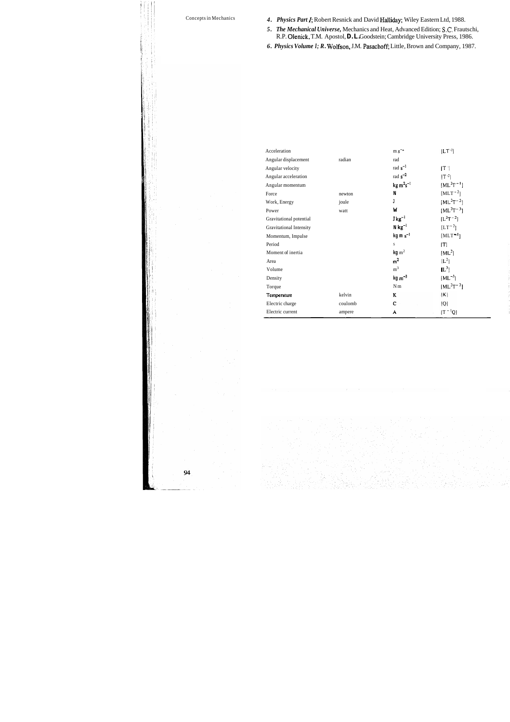- Concepts in Mechanics *4. Physics Part I;* Robert Resnick and David Halliday; Wiley Eastern Ltd, 1988.
	- *5. The Mechanical Universe,* Mechanics and Heat, Advanced Edition; **S.C.** Frautschi, R.P. Olenick, T.M. Apostol, **D.L.** Goodstein; Cambridge University Press, 1986.
	- *6. Physics Volume I; R.* Wolfson, J.M. Pasachoff; Little, Brown and Company, 1987.

| Acceleration            |         | $m s-2$               | $ LT^{-1} $      |  |
|-------------------------|---------|-----------------------|------------------|--|
| Angular displacement    | radian  | rad                   |                  |  |
| Angular velocity        |         | rad $s^{-1}$          | T                |  |
| Angular acceleration    |         | rad $s^{-2}$          | $ T^{-1} $       |  |
| Angular momentum        |         | $kg m2s-1$            | $[ML^{2}T^{-1}]$ |  |
| Force                   | newton  | N                     | $[MLT^{-2}]$     |  |
| Work, Energy            | joule   | J                     | $[ML^{2}T^{-2}]$ |  |
| Power                   | watt    | W                     | $[ML^{2}T^{-3}]$ |  |
| Gravitational potential |         | $J kg^{-1}$           | $[L^{2}T^{-2}]$  |  |
| Gravitational Intensity |         | $N kg^{-1}$           | $[LT^{-2}]$      |  |
| Momentum, Impulse       |         | $kg \text{ m s}^{-1}$ | $[MLT^{-1}]$     |  |
| Period                  |         | S                     | [T]              |  |
| Moment of inertia       |         | $kg \, \text{m}^2$    | $[ML^2]$         |  |
| Area                    |         | m <sup>2</sup>        | $[L^2]$          |  |
| Volume                  |         | m <sup>3</sup>        | $[\mathbb{L}^3]$ |  |
| Density                 |         | $kg \, \text{m}^{-3}$ | $[ML^{-3}]$      |  |
| Torque                  |         | N <sub>m</sub>        | $ ML^{2}T^{-2} $ |  |
| Temperature             | kelvin  | K                     | K                |  |
| Electric charge         | coulomb | C                     | Q                |  |
| Electric current        | ampere  | A                     | $ T^{-1}Q $      |  |
|                         |         |                       |                  |  |